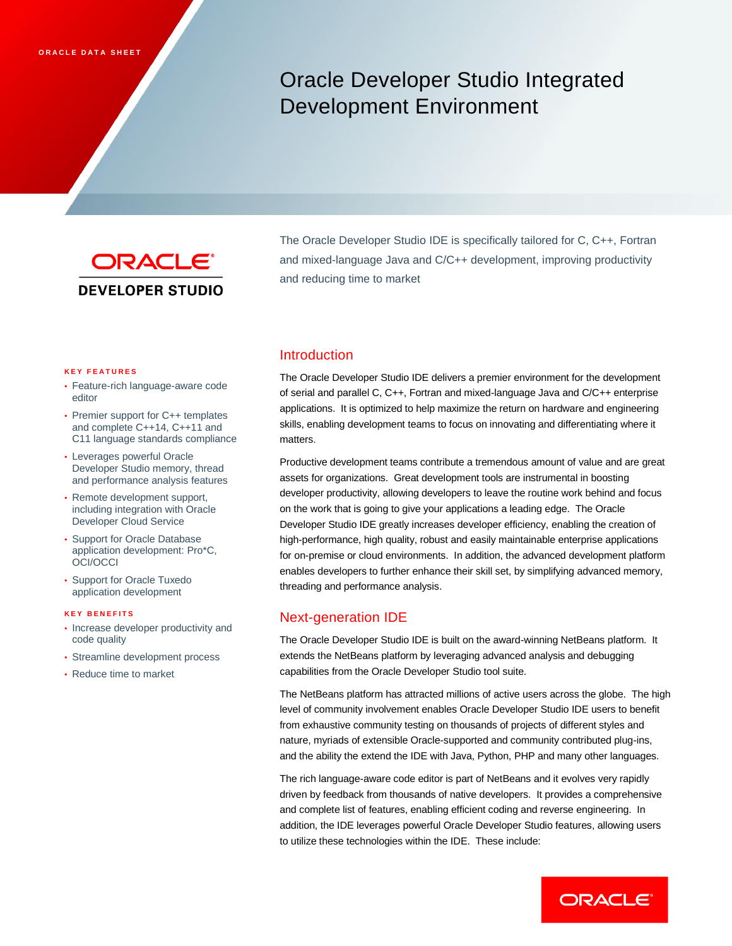# Oracle Developer Studio Integrated Development Environment



The Oracle Developer Studio IDE is specifically tailored for C, C++, Fortran and mixed-language Java and C/C++ development, improving productivity and reducing time to market

#### **K E Y F E A T U R E S**

- Feature-rich language-aware code editor
- Premier support for C++ templates and complete C++14, C++11 and C11 language standards compliance
- Leverages powerful Oracle Developer Studio memory, thread and performance analysis features
- Remote development support, including integration with Oracle Developer Cloud Service
- Support for Oracle Database application development: Pro\*C, OCI/OCCI
- Support for Oracle Tuxedo application development

#### **K E Y B E N E F I T S**

- Increase developer productivity and code quality
- Streamline development process
- Reduce time to market

#### Introduction

The Oracle Developer Studio IDE delivers a premier environment for the development of serial and parallel C, C++, Fortran and mixed-language Java and C/C++ enterprise applications. It is optimized to help maximize the return on hardware and engineering skills, enabling development teams to focus on innovating and differentiating where it matters.

Productive development teams contribute a tremendous amount of value and are great assets for organizations. Great development tools are instrumental in boosting developer productivity, allowing developers to leave the routine work behind and focus on the work that is going to give your applications a leading edge. The Oracle Developer Studio IDE greatly increases developer efficiency, enabling the creation of high-performance, high quality, robust and easily maintainable enterprise applications for on-premise or cloud environments. In addition, the advanced development platform enables developers to further enhance their skill set, by simplifying advanced memory, threading and performance analysis.

#### Next-generation IDE

The Oracle Developer Studio IDE is built on the award-winning NetBeans platform. It extends the NetBeans platform by leveraging advanced analysis and debugging capabilities from the Oracle Developer Studio tool suite.

The NetBeans platform has attracted millions of active users across the globe. The high level of community involvement enables Oracle Developer Studio IDE users to benefit from exhaustive community testing on thousands of projects of different styles and nature, myriads of extensible Oracle-supported and community contributed plug-ins, and the ability the extend the IDE with Java, Python, PHP and many other languages.

The rich language-aware code editor is part of NetBeans and it evolves very rapidly driven by feedback from thousands of native developers. It provides a comprehensive and complete list of features, enabling efficient coding and reverse engineering. In addition, the IDE leverages powerful Oracle Developer Studio features, allowing users to utilize these technologies within the IDE. These include:

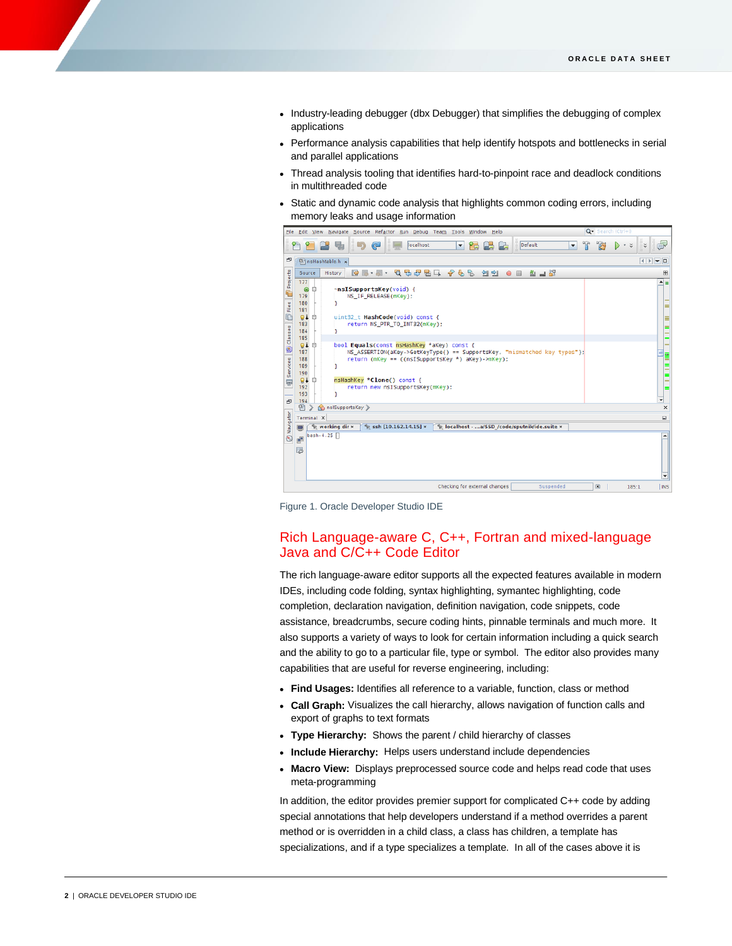- Industry-leading debugger (dbx Debugger) that simplifies the debugging of complex applications
- Performance analysis capabilities that help identify hotspots and bottlenecks in serial and parallel applications
- Thread analysis tooling that identifies hard-to-pinpoint race and deadlock conditions in multithreaded code
- Static and dynamic code analysis that highlights common coding errors, including memory leaks and usage information



Figure 1. Oracle Developer Studio IDE

## Rich Language-aware C, C++, Fortran and mixed-language Java and C/C++ Code Editor

The rich language-aware editor supports all the expected features available in modern IDEs, including code folding, syntax highlighting, symantec highlighting, code completion, declaration navigation, definition navigation, code snippets, code assistance, breadcrumbs, secure coding hints, pinnable terminals and much more. It also supports a variety of ways to look for certain information including a quick search and the ability to go to a particular file, type or symbol. The editor also provides many capabilities that are useful for reverse engineering, including:

- **Find Usages:** Identifies all reference to a variable, function, class or method
- **Call Graph:** Visualizes the call hierarchy, allows navigation of function calls and export of graphs to text formats
- **Type Hierarchy:** Shows the parent / child hierarchy of classes
- **Include Hierarchy:** Helps users understand include dependencies
- **Macro View:** Displays preprocessed source code and helps read code that uses meta-programming

In addition, the editor provides premier support for complicated C++ code by adding special annotations that help developers understand if a method overrides a parent method or is overridden in a child class, a class has children, a template has specializations, and if a type specializes a template. In all of the cases above it is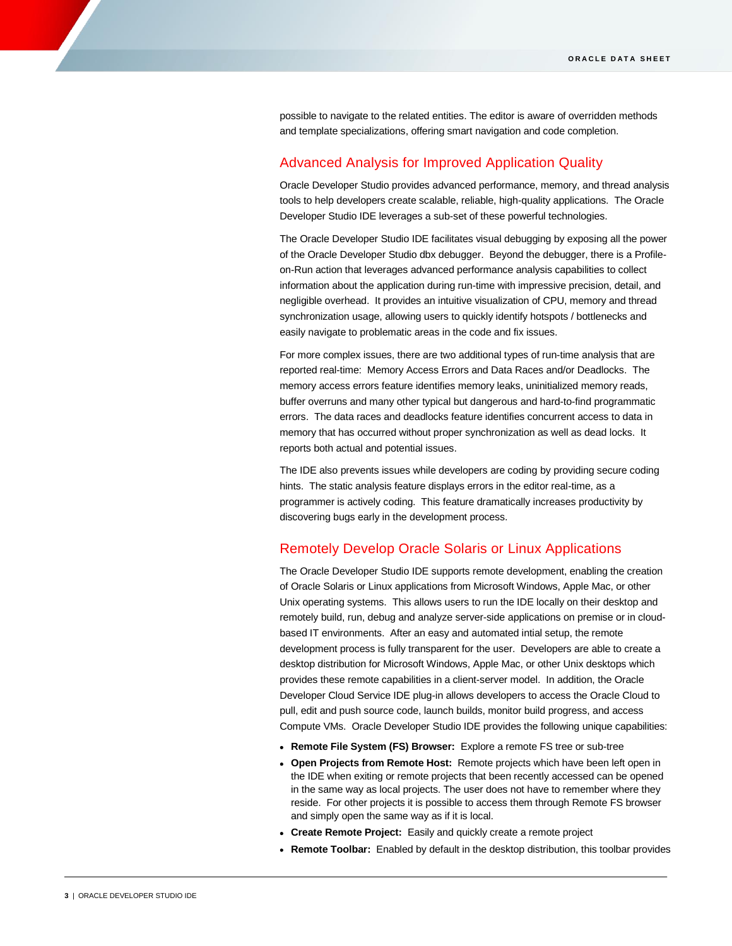possible to navigate to the related entities. The editor is aware of overridden methods and template specializations, offering smart navigation and code completion.

## Advanced Analysis for Improved Application Quality

Oracle Developer Studio provides advanced performance, memory, and thread analysis tools to help developers create scalable, reliable, high-quality applications. The Oracle Developer Studio IDE leverages a sub-set of these powerful technologies.

The Oracle Developer Studio IDE facilitates visual debugging by exposing all the power of the Oracle Developer Studio dbx debugger. Beyond the debugger, there is a Profileon-Run action that leverages advanced performance analysis capabilities to collect information about the application during run-time with impressive precision, detail, and negligible overhead. It provides an intuitive visualization of CPU, memory and thread synchronization usage, allowing users to quickly identify hotspots / bottlenecks and easily navigate to problematic areas in the code and fix issues.

For more complex issues, there are two additional types of run-time analysis that are reported real-time: Memory Access Errors and Data Races and/or Deadlocks. The memory access errors feature identifies memory leaks, uninitialized memory reads, buffer overruns and many other typical but dangerous and hard-to-find programmatic errors. The data races and deadlocks feature identifies concurrent access to data in memory that has occurred without proper synchronization as well as dead locks. It reports both actual and potential issues.

The IDE also prevents issues while developers are coding by providing secure coding hints. The static analysis feature displays errors in the editor real-time, as a programmer is actively coding. This feature dramatically increases productivity by discovering bugs early in the development process.

#### Remotely Develop Oracle Solaris or Linux Applications

The Oracle Developer Studio IDE supports remote development, enabling the creation of Oracle Solaris or Linux applications from Microsoft Windows, Apple Mac, or other Unix operating systems. This allows users to run the IDE locally on their desktop and remotely build, run, debug and analyze server-side applications on premise or in cloudbased IT environments. After an easy and automated intial setup, the remote development process is fully transparent for the user. Developers are able to create a desktop distribution for Microsoft Windows, Apple Mac, or other Unix desktops which provides these remote capabilities in a client-server model. In addition, the Oracle Developer Cloud Service IDE plug-in allows developers to access the Oracle Cloud to pull, edit and push source code, launch builds, monitor build progress, and access Compute VMs. Oracle Developer Studio IDE provides the following unique capabilities:

- **Remote File System (FS) Browser:** Explore a remote FS tree or sub-tree
- **Open Projects from Remote Host:** Remote projects which have been left open in the IDE when exiting or remote projects that been recently accessed can be opened in the same way as local projects. The user does not have to remember where they reside. For other projects it is possible to access them through Remote FS browser and simply open the same way as if it is local.
- **Create Remote Project:** Easily and quickly create a remote project
- **Remote Toolbar:** Enabled by default in the desktop distribution, this toolbar provides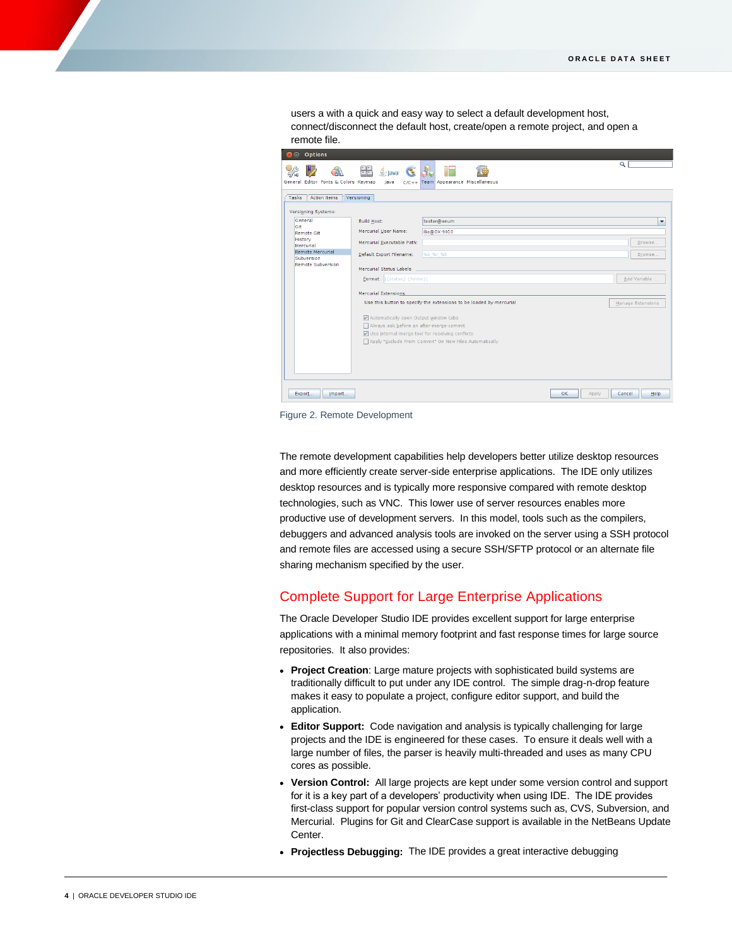users a with a quick and easy way to select a default development host, connect/disconnect the default host, create/open a remote project, and open a remote file.



Figure 2. Remote Development

The remote development capabilities help developers better utilize desktop resources and more efficiently create server-side enterprise applications. The IDE only utilizes desktop resources and is typically more responsive compared with remote desktop technologies, such as VNC. This lower use of server resources enables more productive use of development servers. In this model, tools such as the compilers, debuggers and advanced analysis tools are invoked on the server using a SSH protocol and remote files are accessed using a secure SSH/SFTP protocol or an alternate file sharing mechanism specified by the user.

# Complete Support for Large Enterprise Applications

The Oracle Developer Studio IDE provides excellent support for large enterprise applications with a minimal memory footprint and fast response times for large source repositories. It also provides:

- **Project Creation**: Large mature projects with sophisticated build systems are traditionally difficult to put under any IDE control. The simple drag-n-drop feature makes it easy to populate a project, configure editor support, and build the application.
- **Editor Support:** Code navigation and analysis is typically challenging for large projects and the IDE is engineered for these cases. To ensure it deals well with a large number of files, the parser is heavily multi-threaded and uses as many CPU cores as possible.
- **Version Control:** All large projects are kept under some version control and support for it is a key part of a developers' productivity when using IDE. The IDE provides first-class support for popular version control systems such as, CVS, Subversion, and Mercurial. Plugins for Git and ClearCase support is available in the NetBeans Update Center.
- **Projectless Debugging:** The IDE provides a great interactive debugging